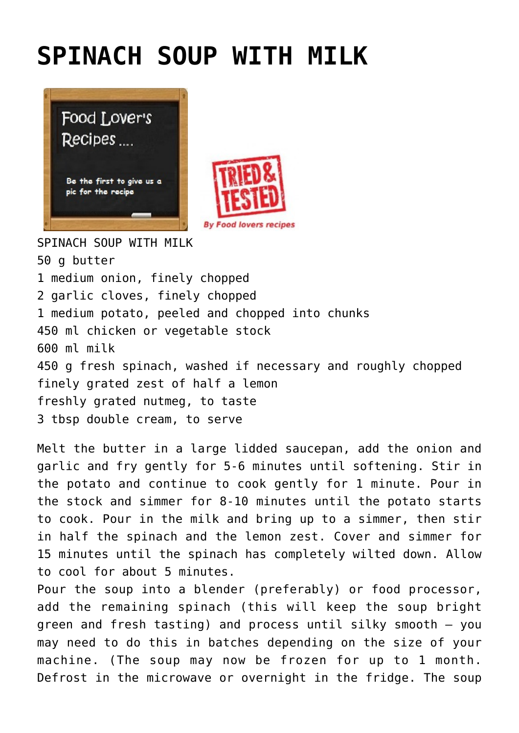## **[SPINACH SOUP WITH MILK](http://www.foodloversrecipes.com/2019/06/spinach-soup-with-milk/)**





SPINACH SOUP WITH MILK 50 g butter 1 medium onion, finely chopped 2 garlic cloves, finely chopped 1 medium potato, peeled and chopped into chunks 450 ml chicken or vegetable stock 600 ml milk 450 g fresh spinach, washed if necessary and roughly chopped finely grated zest of half a lemon freshly grated nutmeg, to taste 3 tbsp double cream, to serve

Melt the butter in a large lidded saucepan, add the onion and garlic and fry gently for 5-6 minutes until softening. Stir in the potato and continue to cook gently for 1 minute. Pour in the stock and simmer for 8-10 minutes until the potato starts to cook. Pour in the milk and bring up to a simmer, then stir in half the spinach and the lemon zest. Cover and simmer for 15 minutes until the spinach has completely wilted down. Allow to cool for about 5 minutes.

Pour the soup into a blender (preferably) or food processor, add the remaining spinach (this will keep the soup bright green and fresh tasting) and process until silky smooth – you may need to do this in batches depending on the size of your machine. (The soup may now be frozen for up to 1 month. Defrost in the microwave or overnight in the fridge. The soup